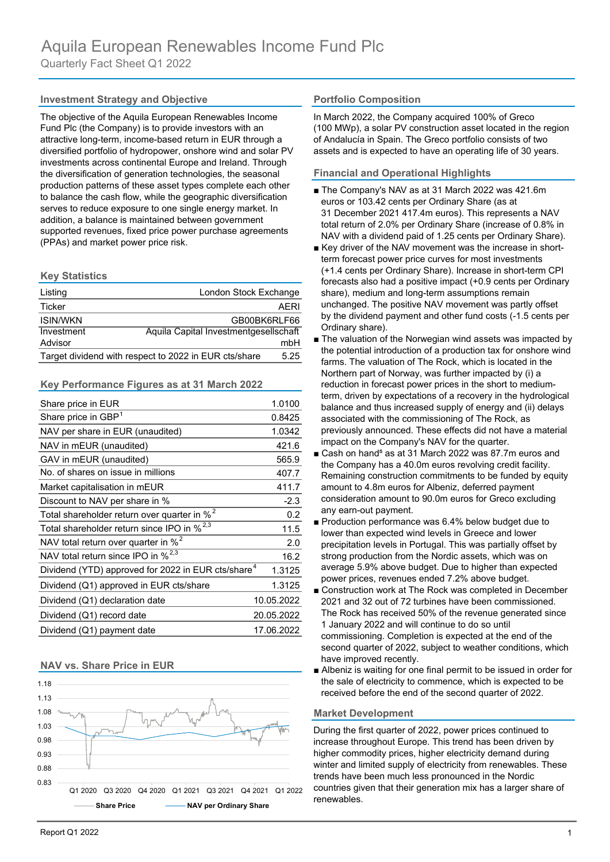## **Investment Strategy and Objective Composition Representively in Portfolio Composition**

The objective of the Aquila European Renewables Income Fund Plc (the Company) is to provide investors with an attractive long-term, income-based return in EUR through a diversified portfolio of hydropower, onshore wind and solar PV investments across continental Europe and Ireland. Through the diversification of generation technologies, the seasonal production patterns of these asset types complete each other to balance the cash flow, while the geographic diversification serves to reduce exposure to one single energy market. In addition, a balance is maintained between government supported revenues, fixed price power purchase agreements (PPAs) and market power price risk.

### **Key Statistics**

| Listing                                               | London Stock Exchange                 |      |
|-------------------------------------------------------|---------------------------------------|------|
| Ticker                                                | AFRI                                  |      |
| <b>ISIN/WKN</b>                                       | GB00BK6RLF66                          |      |
| Investment                                            | Aquila Capital Investmentgesellschaft |      |
| Advisor                                               |                                       | mbH  |
| Target dividend with respect to 2022 in EUR cts/share |                                       | 5.25 |

### **Key Performance Figures as at 31 March 2022**

| Share price in EUR                                             | 1.0100     |
|----------------------------------------------------------------|------------|
| Share price in GBP <sup>1</sup>                                | 0.8425     |
| NAV per share in EUR (unaudited)                               | 1.0342     |
| NAV in mEUR (unaudited)                                        | 421.6      |
| GAV in mEUR (unaudited)                                        | 565.9      |
| No. of shares on issue in millions                             | 407.7      |
| Market capitalisation in mEUR                                  | 411.7      |
| Discount to NAV per share in %                                 | $-2.3$     |
| Total shareholder return over quarter in % <sup>2</sup>        | 0.2        |
| Total shareholder return since IPO in % <sup>2,3</sup>         | 11.5       |
| NAV total return over quarter in % <sup>2</sup>                | 2.0        |
| NAV total return since IPO in % <sup>2,3</sup>                 | 16.2       |
| Dividend (YTD) approved for 2022 in EUR cts/share <sup>4</sup> | 1.3125     |
| Dividend (Q1) approved in EUR cts/share                        | 1.3125     |
| Dividend (Q1) declaration date                                 | 10.05.2022 |
| Dividend (Q1) record date                                      | 20.05.2022 |
| Dividend (Q1) payment date                                     | 17.06.2022 |

### **NAV vs. Share Price in EUR**



In March 2022, the Company acquired 100% of Greco (100 MWp), a solar PV construction asset located in the region of Andalucía in Spain. The Greco portfolio consists of two assets and is expected to have an operating life of 30 years.

## **Financial and Operational Highlights**

- The Company's NAV as at 31 March 2022 was 421.6m euros or 103.42 cents per Ordinary Share (as at 31 December 2021 417.4m euros). This represents a NAV total return of 2.0% per Ordinary Share (increase of 0.8% in NAV with a dividend paid of 1.25 cents per Ordinary Share).
- Key driver of the NAV movement was the increase in short term forecast power price curves for most investments (+1.4 cents per Ordinary Share). Increase in short-term CPI forecasts also had a positive impact (+0.9 cents per Ordinary share), medium and long-term assumptions remain unchanged. The positive NAV movement was partly offset by the dividend payment and other fund costs (-1.5 cents per Ordinary share).
- The valuation of the Norwegian wind assets was impacted by the potential introduction of a production tax for onshore wind farms. The valuation of The Rock, which is located in the Northern part of Norway, was further impacted by (i) a reduction in forecast power prices in the short to medium term, driven by expectations of a recovery in the hydrological balance and thus increased supply of energy and (ii) delays associated with the commissioning of The Rock, as previously announced. These effects did not have a material impact on the Company's NAV for the quarter.
- Cash on hand<sup>5</sup> as at 31 March 2022 was 87.7m euros and the Company has a 40.0m euros revolving credit facility. Remaining construction commitments to be funded by equity amount to 4.8m euros for Albeniz, deferred payment consideration amount to 90.0m euros for Greco excluding any earn-out payment.
- Production performance was 6.4% below budget due to lower than expected wind levels in Greece and lower precipitation levels in Portugal. This was partially offset by strong production from the Nordic assets, which was on average 5.9% above budget. Due to higher than expected power prices, revenues ended 7.2% above budget.
- Construction work at The Rock was completed in December 2021 and 32 out of 72 turbines have been commissioned. The Rock has received 50% of the revenue generated since 1 January 2022 and will continue to do so until commissioning. Completion is expected at the end of the second quarter of 2022, subject to weather conditions, which have improved recently.
- Albeniz is waiting for one final permit to be issued in order for the sale of electricity to commence, which is expected to be received before the end of the second quarter of 2022.

### **Market Development**

During the first quarter of 2022, power prices continued to increase throughout Europe. This trend has been driven by higher commodity prices, higher electricity demand during winter and limited supply of electricity from renewables. These trends have been much less pronounced in the Nordic countries given that their generation mix has a larger share of renewables.